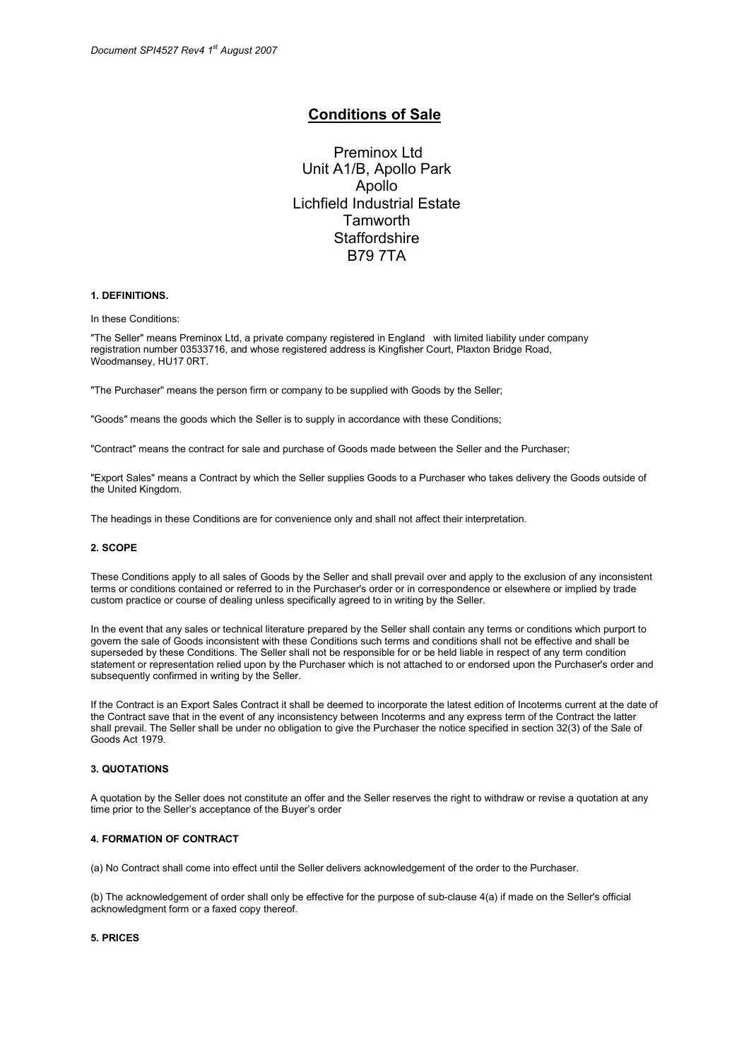# Conditions of Sale

Preminox Ltd Unit A1/B, Apollo Park Apollo Lichfield Industrial Estate **Tamworth Staffordshire** B79 7TA

# 1. DEFINITIONS.

In these Conditions:

"The Seller" means Preminox Ltd, a private company registered in England with limited liability under company registration number 03533716, and whose registered address is Kingfisher Court, Plaxton Bridge Road, Woodmansey, HU17 0RT.

"The Purchaser" means the person firm or company to be supplied with Goods by the Seller;

"Goods" means the goods which the Seller is to supply in accordance with these Conditions;

"Contract" means the contract for sale and purchase of Goods made between the Seller and the Purchaser;

"Export Sales" means a Contract by which the Seller supplies Goods to a Purchaser who takes delivery the Goods outside of the United Kingdom.

The headings in these Conditions are for convenience only and shall not affect their interpretation.

### 2. SCOPE

These Conditions apply to all sales of Goods by the Seller and shall prevail over and apply to the exclusion of any inconsistent terms or conditions contained or referred to in the Purchaser's order or in correspondence or elsewhere or implied by trade custom practice or course of dealing unless specifically agreed to in writing by the Seller.

In the event that any sales or technical literature prepared by the Seller shall contain any terms or conditions which purport to govern the sale of Goods inconsistent with these Conditions such terms and conditions shall not be effective and shall be superseded by these Conditions. The Seller shall not be responsible for or be held liable in respect of any term condition statement or representation relied upon by the Purchaser which is not attached to or endorsed upon the Purchaser's order and subsequently confirmed in writing by the Seller.

If the Contract is an Export Sales Contract it shall be deemed to incorporate the latest edition of Incoterms current at the date of the Contract save that in the event of any inconsistency between Incoterms and any express term of the Contract the latter shall prevail. The Seller shall be under no obligation to give the Purchaser the notice specified in section 32(3) of the Sale of Goods Act 1979.

# 3. QUOTATIONS

A quotation by the Seller does not constitute an offer and the Seller reserves the right to withdraw or revise a quotation at any time prior to the Seller's acceptance of the Buyer's order

# 4. FORMATION OF CONTRACT

(a) No Contract shall come into effect until the Seller delivers acknowledgement of the order to the Purchaser.

(b) The acknowledgement of order shall only be effective for the purpose of sub-clause 4(a) if made on the Seller's official acknowledgment form or a faxed copy thereof.

#### 5. PRICES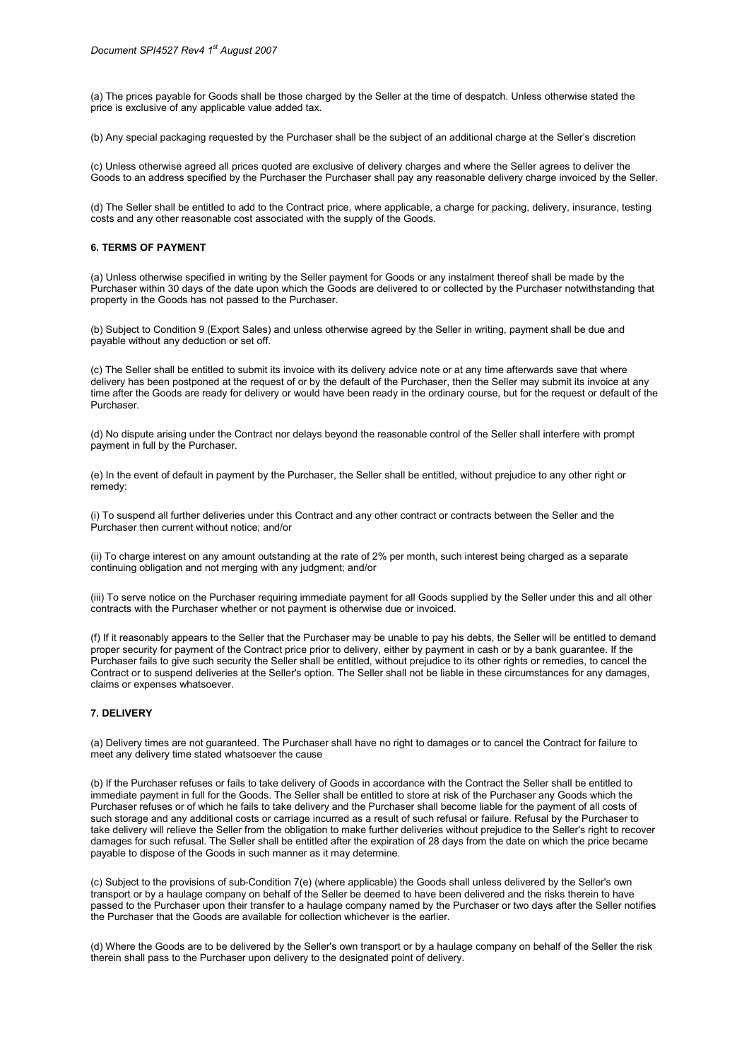(a) The prices payable for Goods shall be those charged by the Seller at the time of despatch. Unless otherwise stated the price is exclusive of any applicable value added tax.

(b) Any special packaging requested by the Purchaser shall be the subject of an additional charge at the Seller's discretion

(c) Unless otherwise agreed all prices quoted are exclusive of delivery charges and where the Seller agrees to deliver the Goods to an address specified by the Purchaser the Purchaser shall pay any reasonable delivery charge invoiced by the Seller.

(d) The Seller shall be entitled to add to the Contract price, where applicable, a charge for packing, delivery, insurance, testing costs and any other reasonable cost associated with the supply of the Goods.

# 6. TERMS OF PAYMENT

(a) Unless otherwise specified in writing by the Seller payment for Goods or any instalment thereof shall be made by the Purchaser within 30 days of the date upon which the Goods are delivered to or collected by the Purchaser notwithstanding that property in the Goods has not passed to the Purchaser.

(b) Subject to Condition 9 (Export Sales) and unless otherwise agreed by the Seller in writing, payment shall be due and payable without any deduction or set off.

(c) The Seller shall be entitled to submit its invoice with its delivery advice note or at any time afterwards save that where delivery has been postponed at the request of or by the default of the Purchaser, then the Seller may submit its invoice at any time after the Goods are ready for delivery or would have been ready in the ordinary course, but for the request or default of the Purchaser.

(d) No dispute arising under the Contract nor delays beyond the reasonable control of the Seller shall interfere with prompt payment in full by the Purchaser.

(e) In the event of default in payment by the Purchaser, the Seller shall be entitled, without prejudice to any other right or remedy:

(i) To suspend all further deliveries under this Contract and any other contract or contracts between the Seller and the Purchaser then current without notice; and/or

(ii) To charge interest on any amount outstanding at the rate of 2% per month, such interest being charged as a separate continuing obligation and not merging with any judgment; and/or

(iii) To serve notice on the Purchaser requiring immediate payment for all Goods supplied by the Seller under this and all other contracts with the Purchaser whether or not payment is otherwise due or invoiced.

(f) If it reasonably appears to the Seller that the Purchaser may be unable to pay his debts, the Seller will be entitled to demand proper security for payment of the Contract price prior to delivery, either by payment in cash or by a bank guarantee. If the Purchaser fails to give such security the Seller shall be entitled, without prejudice to its other rights or remedies, to cancel the Contract or to suspend deliveries at the Seller's option. The Seller shall not be liable in these circumstances for any damages, claims or expenses whatsoever.

### 7. DELIVERY

(a) Delivery times are not guaranteed. The Purchaser shall have no right to damages or to cancel the Contract for failure to meet any delivery time stated whatsoever the cause

(b) If the Purchaser refuses or fails to take delivery of Goods in accordance with the Contract the Seller shall be entitled to immediate payment in full for the Goods. The Seller shall be entitled to store at risk of the Purchaser any Goods which the Purchaser refuses or of which he fails to take delivery and the Purchaser shall become liable for the payment of all costs of such storage and any additional costs or carriage incurred as a result of such refusal or failure. Refusal by the Purchaser to take delivery will relieve the Seller from the obligation to make further deliveries without prejudice to the Seller's right to recover damages for such refusal. The Seller shall be entitled after the expiration of 28 days from the date on which the price became payable to dispose of the Goods in such manner as it may determine.

(c) Subject to the provisions of sub-Condition 7(e) (where applicable) the Goods shall unless delivered by the Seller's own transport or by a haulage company on behalf of the Seller be deemed to have been delivered and the risks therein to have passed to the Purchaser upon their transfer to a haulage company named by the Purchaser or two days after the Seller notifies the Purchaser that the Goods are available for collection whichever is the earlier.

(d) Where the Goods are to be delivered by the Seller's own transport or by a haulage company on behalf of the Seller the risk therein shall pass to the Purchaser upon delivery to the designated point of delivery.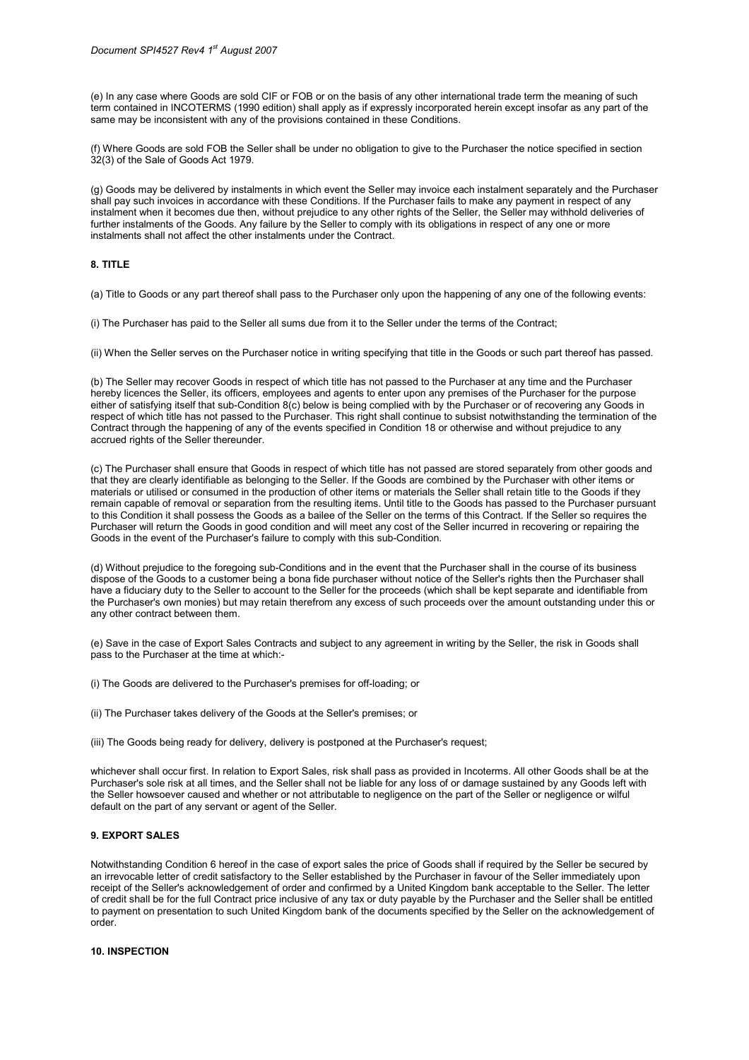(e) In any case where Goods are sold CIF or FOB or on the basis of any other international trade term the meaning of such term contained in INCOTERMS (1990 edition) shall apply as if expressly incorporated herein except insofar as any part of the same may be inconsistent with any of the provisions contained in these Conditions.

(f) Where Goods are sold FOB the Seller shall be under no obligation to give to the Purchaser the notice specified in section 32(3) of the Sale of Goods Act 1979.

(g) Goods may be delivered by instalments in which event the Seller may invoice each instalment separately and the Purchaser shall pay such invoices in accordance with these Conditions. If the Purchaser fails to make any payment in respect of any instalment when it becomes due then, without prejudice to any other rights of the Seller, the Seller may withhold deliveries of further instalments of the Goods. Any failure by the Seller to comply with its obligations in respect of any one or more instalments shall not affect the other instalments under the Contract.

#### 8. TITLE

(a) Title to Goods or any part thereof shall pass to the Purchaser only upon the happening of any one of the following events:

(i) The Purchaser has paid to the Seller all sums due from it to the Seller under the terms of the Contract;

(ii) When the Seller serves on the Purchaser notice in writing specifying that title in the Goods or such part thereof has passed.

(b) The Seller may recover Goods in respect of which title has not passed to the Purchaser at any time and the Purchaser hereby licences the Seller, its officers, employees and agents to enter upon any premises of the Purchaser for the purpose either of satisfying itself that sub-Condition 8(c) below is being complied with by the Purchaser or of recovering any Goods in respect of which title has not passed to the Purchaser. This right shall continue to subsist notwithstanding the termination of the Contract through the happening of any of the events specified in Condition 18 or otherwise and without prejudice to any accrued rights of the Seller thereunder.

(c) The Purchaser shall ensure that Goods in respect of which title has not passed are stored separately from other goods and that they are clearly identifiable as belonging to the Seller. If the Goods are combined by the Purchaser with other items or materials or utilised or consumed in the production of other items or materials the Seller shall retain title to the Goods if they remain capable of removal or separation from the resulting items. Until title to the Goods has passed to the Purchaser pursuant to this Condition it shall possess the Goods as a bailee of the Seller on the terms of this Contract. If the Seller so requires the Purchaser will return the Goods in good condition and will meet any cost of the Seller incurred in recovering or repairing the Goods in the event of the Purchaser's failure to comply with this sub-Condition.

(d) Without prejudice to the foregoing sub-Conditions and in the event that the Purchaser shall in the course of its business dispose of the Goods to a customer being a bona fide purchaser without notice of the Seller's rights then the Purchaser shall have a fiduciary duty to the Seller to account to the Seller for the proceeds (which shall be kept separate and identifiable from the Purchaser's own monies) but may retain therefrom any excess of such proceeds over the amount outstanding under this or any other contract between them.

(e) Save in the case of Export Sales Contracts and subject to any agreement in writing by the Seller, the risk in Goods shall pass to the Purchaser at the time at which:-

- (i) The Goods are delivered to the Purchaser's premises for off-loading; or
- (ii) The Purchaser takes delivery of the Goods at the Seller's premises; or
- (iii) The Goods being ready for delivery, delivery is postponed at the Purchaser's request;

whichever shall occur first. In relation to Export Sales, risk shall pass as provided in Incoterms. All other Goods shall be at the Purchaser's sole risk at all times, and the Seller shall not be liable for any loss of or damage sustained by any Goods left with the Seller howsoever caused and whether or not attributable to negligence on the part of the Seller or negligence or wilful default on the part of any servant or agent of the Seller.

# 9. EXPORT SALES

Notwithstanding Condition 6 hereof in the case of export sales the price of Goods shall if required by the Seller be secured by an irrevocable letter of credit satisfactory to the Seller established by the Purchaser in favour of the Seller immediately upon receipt of the Seller's acknowledgement of order and confirmed by a United Kingdom bank acceptable to the Seller. The letter of credit shall be for the full Contract price inclusive of any tax or duty payable by the Purchaser and the Seller shall be entitled to payment on presentation to such United Kingdom bank of the documents specified by the Seller on the acknowledgement of order.

#### 10. INSPECTION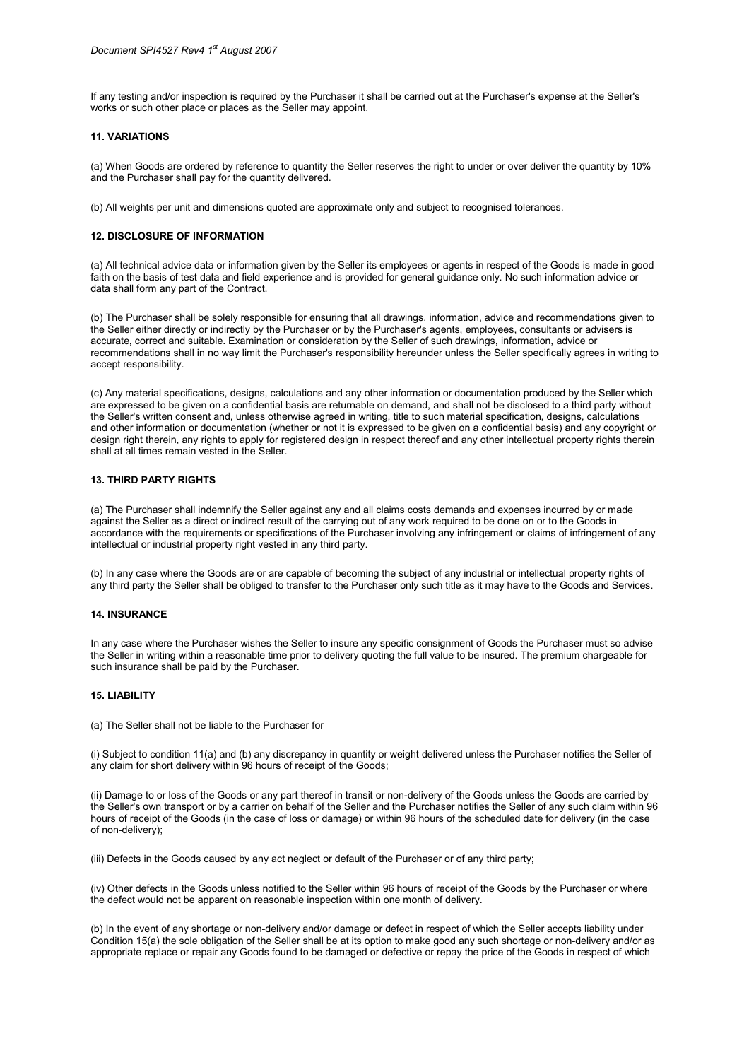If any testing and/or inspection is required by the Purchaser it shall be carried out at the Purchaser's expense at the Seller's works or such other place or places as the Seller may appoint.

# 11. VARIATIONS

(a) When Goods are ordered by reference to quantity the Seller reserves the right to under or over deliver the quantity by 10% and the Purchaser shall pay for the quantity delivered.

(b) All weights per unit and dimensions quoted are approximate only and subject to recognised tolerances.

### 12. DISCLOSURE OF INFORMATION

(a) All technical advice data or information given by the Seller its employees or agents in respect of the Goods is made in good faith on the basis of test data and field experience and is provided for general guidance only. No such information advice or data shall form any part of the Contract.

(b) The Purchaser shall be solely responsible for ensuring that all drawings, information, advice and recommendations given to the Seller either directly or indirectly by the Purchaser or by the Purchaser's agents, employees, consultants or advisers is accurate, correct and suitable. Examination or consideration by the Seller of such drawings, information, advice or recommendations shall in no way limit the Purchaser's responsibility hereunder unless the Seller specifically agrees in writing to accept responsibility.

(c) Any material specifications, designs, calculations and any other information or documentation produced by the Seller which are expressed to be given on a confidential basis are returnable on demand, and shall not be disclosed to a third party without the Seller's written consent and, unless otherwise agreed in writing, title to such material specification, designs, calculations and other information or documentation (whether or not it is expressed to be given on a confidential basis) and any copyright or design right therein, any rights to apply for registered design in respect thereof and any other intellectual property rights therein shall at all times remain vested in the Seller.

# 13. THIRD PARTY RIGHTS

(a) The Purchaser shall indemnify the Seller against any and all claims costs demands and expenses incurred by or made against the Seller as a direct or indirect result of the carrying out of any work required to be done on or to the Goods in accordance with the requirements or specifications of the Purchaser involving any infringement or claims of infringement of any intellectual or industrial property right vested in any third party.

(b) In any case where the Goods are or are capable of becoming the subject of any industrial or intellectual property rights of any third party the Seller shall be obliged to transfer to the Purchaser only such title as it may have to the Goods and Services.

#### 14. INSURANCE

In any case where the Purchaser wishes the Seller to insure any specific consignment of Goods the Purchaser must so advise the Seller in writing within a reasonable time prior to delivery quoting the full value to be insured. The premium chargeable for such insurance shall be paid by the Purchaser.

# 15. LIABILITY

(a) The Seller shall not be liable to the Purchaser for

(i) Subject to condition 11(a) and (b) any discrepancy in quantity or weight delivered unless the Purchaser notifies the Seller of any claim for short delivery within 96 hours of receipt of the Goods;

(ii) Damage to or loss of the Goods or any part thereof in transit or non-delivery of the Goods unless the Goods are carried by the Seller's own transport or by a carrier on behalf of the Seller and the Purchaser notifies the Seller of any such claim within 96 hours of receipt of the Goods (in the case of loss or damage) or within 96 hours of the scheduled date for delivery (in the case of non-delivery);

(iii) Defects in the Goods caused by any act neglect or default of the Purchaser or of any third party;

(iv) Other defects in the Goods unless notified to the Seller within 96 hours of receipt of the Goods by the Purchaser or where the defect would not be apparent on reasonable inspection within one month of delivery.

(b) In the event of any shortage or non-delivery and/or damage or defect in respect of which the Seller accepts liability under Condition 15(a) the sole obligation of the Seller shall be at its option to make good any such shortage or non-delivery and/or as appropriate replace or repair any Goods found to be damaged or defective or repay the price of the Goods in respect of which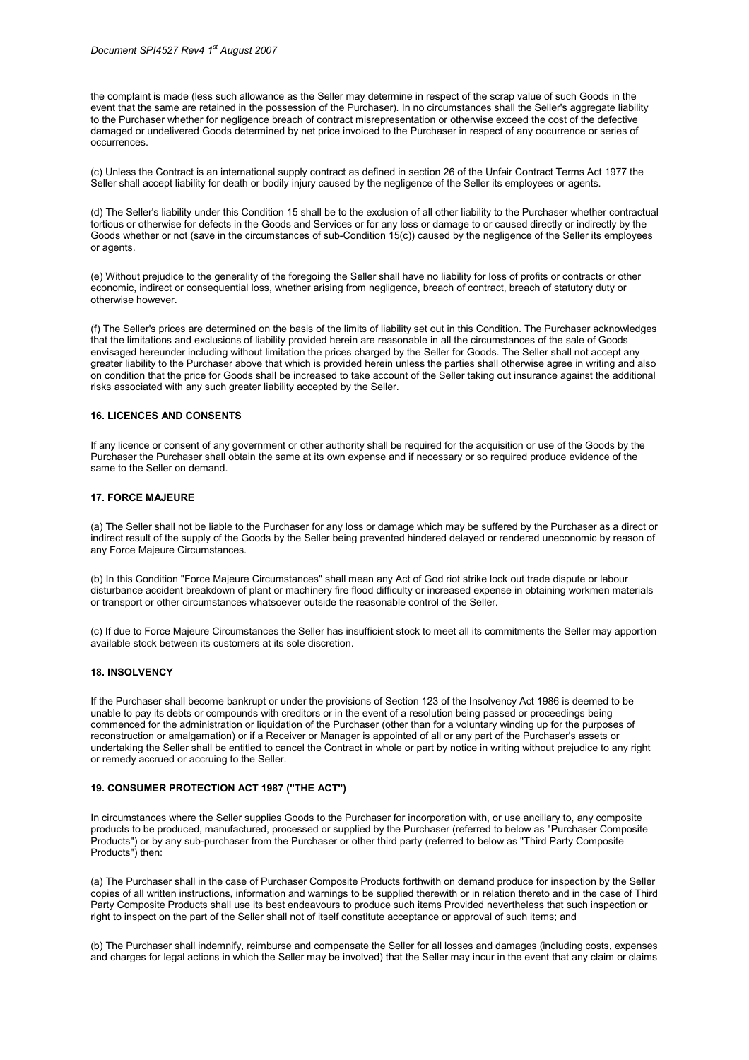the complaint is made (less such allowance as the Seller may determine in respect of the scrap value of such Goods in the event that the same are retained in the possession of the Purchaser). In no circumstances shall the Seller's aggregate liability to the Purchaser whether for negligence breach of contract misrepresentation or otherwise exceed the cost of the defective damaged or undelivered Goods determined by net price invoiced to the Purchaser in respect of any occurrence or series of occurrences.

(c) Unless the Contract is an international supply contract as defined in section 26 of the Unfair Contract Terms Act 1977 the Seller shall accept liability for death or bodily injury caused by the negligence of the Seller its employees or agents.

(d) The Seller's liability under this Condition 15 shall be to the exclusion of all other liability to the Purchaser whether contractual tortious or otherwise for defects in the Goods and Services or for any loss or damage to or caused directly or indirectly by the Goods whether or not (save in the circumstances of sub-Condition 15(c)) caused by the negligence of the Seller its employees or agents.

(e) Without prejudice to the generality of the foregoing the Seller shall have no liability for loss of profits or contracts or other economic, indirect or consequential loss, whether arising from negligence, breach of contract, breach of statutory duty or otherwise however.

(f) The Seller's prices are determined on the basis of the limits of liability set out in this Condition. The Purchaser acknowledges that the limitations and exclusions of liability provided herein are reasonable in all the circumstances of the sale of Goods envisaged hereunder including without limitation the prices charged by the Seller for Goods. The Seller shall not accept any greater liability to the Purchaser above that which is provided herein unless the parties shall otherwise agree in writing and also on condition that the price for Goods shall be increased to take account of the Seller taking out insurance against the additional risks associated with any such greater liability accepted by the Seller.

#### 16. LICENCES AND CONSENTS

If any licence or consent of any government or other authority shall be required for the acquisition or use of the Goods by the Purchaser the Purchaser shall obtain the same at its own expense and if necessary or so required produce evidence of the same to the Seller on demand.

#### 17. FORCE MAJEURE

(a) The Seller shall not be liable to the Purchaser for any loss or damage which may be suffered by the Purchaser as a direct or indirect result of the supply of the Goods by the Seller being prevented hindered delayed or rendered uneconomic by reason of any Force Majeure Circumstances.

(b) In this Condition "Force Majeure Circumstances" shall mean any Act of God riot strike lock out trade dispute or labour disturbance accident breakdown of plant or machinery fire flood difficulty or increased expense in obtaining workmen materials or transport or other circumstances whatsoever outside the reasonable control of the Seller.

(c) If due to Force Majeure Circumstances the Seller has insufficient stock to meet all its commitments the Seller may apportion available stock between its customers at its sole discretion.

#### 18. INSOLVENCY

If the Purchaser shall become bankrupt or under the provisions of Section 123 of the Insolvency Act 1986 is deemed to be unable to pay its debts or compounds with creditors or in the event of a resolution being passed or proceedings being commenced for the administration or liquidation of the Purchaser (other than for a voluntary winding up for the purposes of reconstruction or amalgamation) or if a Receiver or Manager is appointed of all or any part of the Purchaser's assets or undertaking the Seller shall be entitled to cancel the Contract in whole or part by notice in writing without prejudice to any right or remedy accrued or accruing to the Seller.

# 19. CONSUMER PROTECTION ACT 1987 ("THE ACT")

In circumstances where the Seller supplies Goods to the Purchaser for incorporation with, or use ancillary to, any composite products to be produced, manufactured, processed or supplied by the Purchaser (referred to below as "Purchaser Composite Products") or by any sub-purchaser from the Purchaser or other third party (referred to below as "Third Party Composite Products") then:

(a) The Purchaser shall in the case of Purchaser Composite Products forthwith on demand produce for inspection by the Seller copies of all written instructions, information and warnings to be supplied therewith or in relation thereto and in the case of Third Party Composite Products shall use its best endeavours to produce such items Provided nevertheless that such inspection or right to inspect on the part of the Seller shall not of itself constitute acceptance or approval of such items; and

(b) The Purchaser shall indemnify, reimburse and compensate the Seller for all losses and damages (including costs, expenses and charges for legal actions in which the Seller may be involved) that the Seller may incur in the event that any claim or claims